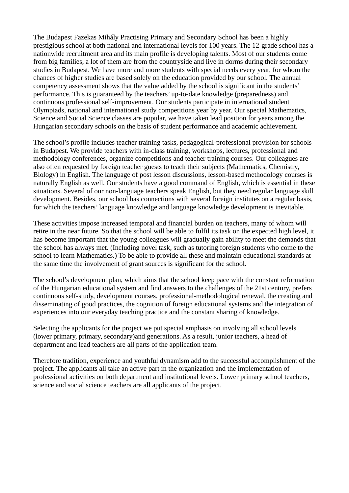The Budapest Fazekas Mihály Practising Primary and Secondary School has been a highly prestigious school at both national and international levels for 100 years. The 12-grade school has a nationwide recruitment area and its main profile is developing talents. Most of our students come from big families, a lot of them are from the countryside and live in dorms during their secondary studies in Budapest. We have more and more students with special needs every year, for whom the chances of higher studies are based solely on the education provided by our school. The annual competency assessment shows that the value added by the school is significant in the students' performance. This is guaranteed by the teachers' up-to-date knowledge (preparedness) and continuous professional self-improvement. Our students participate in international student Olympiads, national and international study competitions year by year. Our special Mathematics, Science and Social Science classes are popular, we have taken lead position for years among the Hungarian secondary schools on the basis of student performance and academic achievement.

The school's profile includes teacher training tasks, pedagogical-professional provision for schools in Budapest. We provide teachers with in-class training, workshops, lectures, professional and methodology conferences, organize competitions and teacher training courses. Our colleagues are also often requested by foreign teacher guests to teach their subjects (Mathematics, Chemistry, Biology) in English. The language of post lesson discussions, lesson-based methodology courses is naturally English as well. Our students have a good command of English, which is essential in these situations. Several of our non-language teachers speak English, but they need regular language skill development. Besides, our school has connections with several foreign institutes on a regular basis, for which the teachers' language knowledge and language knowledge development is inevitable.

These activities impose increased temporal and financial burden on teachers, many of whom will retire in the near future. So that the school will be able to fulfil its task on the expected high level, it has become important that the young colleagues will gradually gain ability to meet the demands that the school has always met. (Including novel task, such as tutoring foreign students who come to the school to learn Mathematics.) To be able to provide all these and maintain educational standards at the same time the involvement of grant sources is significant for the school.

The school's development plan, which aims that the school keep pace with the constant reformation of the Hungarian educational system and find answers to the challenges of the 21st century, prefers continuous self-study, development courses, professional-methodological renewal, the creating and disseminating of good practices, the cognition of foreign educational systems and the integration of experiences into our everyday teaching practice and the constant sharing of knowledge.

Selecting the applicants for the project we put special emphasis on involving all school levels (lower primary, primary, secondary)and generations. As a result, junior teachers, a head of department and lead teachers are all parts of the application team.

Therefore tradition, experience and youthful dynamism add to the successful accomplishment of the project. The applicants all take an active part in the organization and the implementation of professional activities on both department and institutional levels. Lower primary school teachers, science and social science teachers are all applicants of the project.